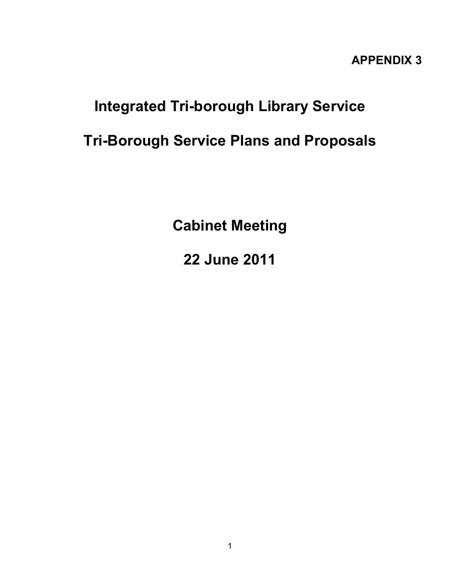## **APPENDIX 3**

## **Integrated Tri-borough Library Service**

## **Tri-Borough Service Plans and Proposals**

**Cabinet Meeting** 

**22 June 2011**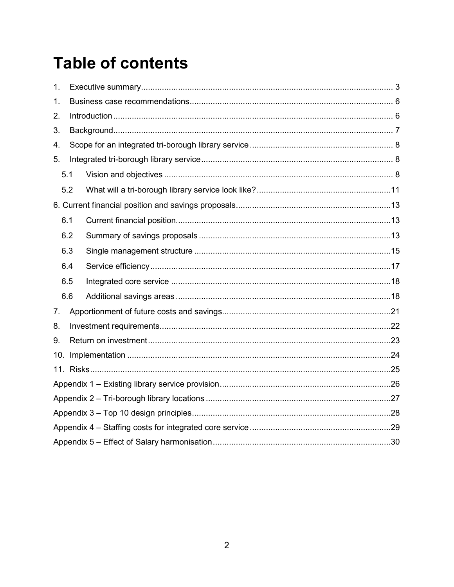# **Table of contents**

| 1. |     |  |  |  |  |  |  |
|----|-----|--|--|--|--|--|--|
| 1. |     |  |  |  |  |  |  |
| 2. |     |  |  |  |  |  |  |
| 3. |     |  |  |  |  |  |  |
| 4. |     |  |  |  |  |  |  |
| 5. |     |  |  |  |  |  |  |
|    | 5.1 |  |  |  |  |  |  |
|    | 5.2 |  |  |  |  |  |  |
|    |     |  |  |  |  |  |  |
|    | 6.1 |  |  |  |  |  |  |
|    | 6.2 |  |  |  |  |  |  |
|    | 6.3 |  |  |  |  |  |  |
|    | 6.4 |  |  |  |  |  |  |
|    | 6.5 |  |  |  |  |  |  |
|    | 6.6 |  |  |  |  |  |  |
| 7. |     |  |  |  |  |  |  |
| 8. |     |  |  |  |  |  |  |
| 9. |     |  |  |  |  |  |  |
|    |     |  |  |  |  |  |  |
|    |     |  |  |  |  |  |  |
|    |     |  |  |  |  |  |  |
|    |     |  |  |  |  |  |  |
|    |     |  |  |  |  |  |  |
|    |     |  |  |  |  |  |  |
|    |     |  |  |  |  |  |  |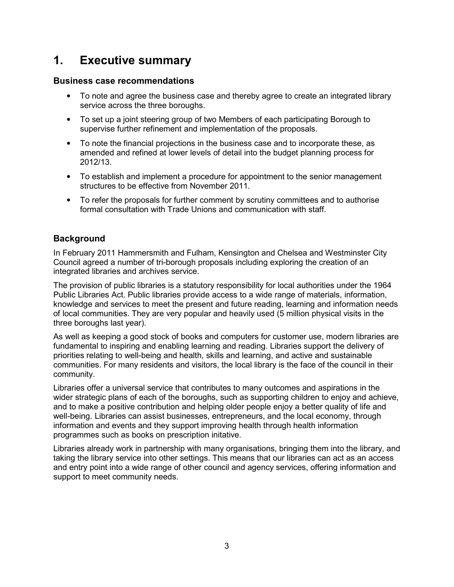## <span id="page-2-0"></span>**1. Executive summary**

#### **Business case recommendations**

- To note and agree the business case and thereby agree to create an integrated library service across the three boroughs.
- To set up a joint steering group of two Members of each participating Borough to supervise further refinement and implementation of the proposals.
- To note the financial projections in the business case and to incorporate these, as amended and refined at lower levels of detail into the budget planning process for 2012/13.
- To establish and implement a procedure for appointment to the senior management structures to be effective from November 2011.
- To refer the proposals for further comment by scrutiny committees and to authorise formal consultation with Trade Unions and communication with staff.

### **Background**

In February 2011 Hammersmith and Fulham, Kensington and Chelsea and Westminster City Council agreed a number of tri-borough proposals including exploring the creation of an integrated libraries and archives service.

The provision of public libraries is a statutory responsibility for local authorities under the 1964 Public Libraries Act. Public libraries provide access to a wide range of materials, information, knowledge and services to meet the present and future reading, learning and information needs of local communities. They are very popular and heavily used (5 million physical visits in the three boroughs last year).

As well as keeping a good stock of books and computers for customer use, modern libraries are fundamental to inspiring and enabling learning and reading. Libraries support the delivery of priorities relating to well-being and health, skills and learning, and active and sustainable communities. For many residents and visitors, the local library is the face of the council in their community.

Libraries offer a universal service that contributes to many outcomes and aspirations in the wider strategic plans of each of the boroughs, such as supporting children to enjoy and achieve, and to make a positive contribution and helping older people enjoy a better quality of life and well-being. Libraries can assist businesses, entrepreneurs, and the local economy, through information and events and they support improving health through health information programmes such as books on prescription initative.

Libraries already work in partnership with many organisations, bringing them into the library, and taking the library service into other settings. This means that our libraries can act as an access and entry point into a wide range of other council and agency services, offering information and support to meet community needs.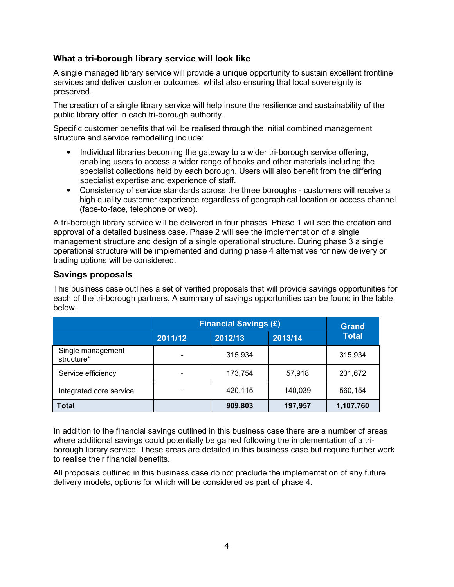### **What a tri-borough library service will look like**

A single managed library service will provide a unique opportunity to sustain excellent frontline services and deliver customer outcomes, whilst also ensuring that local sovereignty is preserved.

The creation of a single library service will help insure the resilience and sustainability of the public library offer in each tri-borough authority.

Specific customer benefits that will be realised through the initial combined management structure and service remodelling include:

- Individual libraries becoming the gateway to a wider tri-borough service offering, enabling users to access a wider range of books and other materials including the specialist collections held by each borough. Users will also benefit from the differing specialist expertise and experience of staff.
- Consistency of service standards across the three boroughs customers will receive a high quality customer experience regardless of geographical location or access channel (face-to-face, telephone or web).

A tri-borough library service will be delivered in four phases. Phase 1 will see the creation and approval of a detailed business case. Phase 2 will see the implementation of a single management structure and design of a single operational structure. During phase 3 a single operational structure will be implemented and during phase 4 alternatives for new delivery or trading options will be considered.

### **Savings proposals**

This business case outlines a set of verified proposals that will provide savings opportunities for each of the tri-borough partners. A summary of savings opportunities can be found in the table below.

|                                 |         | <b>Financial Savings (£)</b> |         |              |  |  |
|---------------------------------|---------|------------------------------|---------|--------------|--|--|
|                                 | 2011/12 | 2012/13                      | 2013/14 | <b>Total</b> |  |  |
| Single management<br>structure* |         | 315,934                      |         | 315,934      |  |  |
| Service efficiency              |         | 173,754                      | 57,918  | 231,672      |  |  |
| Integrated core service         |         | 420,115                      | 140,039 | 560,154      |  |  |
| <b>Total</b>                    |         | 909,803                      | 197,957 | 1,107,760    |  |  |

In addition to the financial savings outlined in this business case there are a number of areas where additional savings could potentially be gained following the implementation of a triborough library service. These areas are detailed in this business case but require further work to realise their financial benefits.

All proposals outlined in this business case do not preclude the implementation of any future delivery models, options for which will be considered as part of phase 4.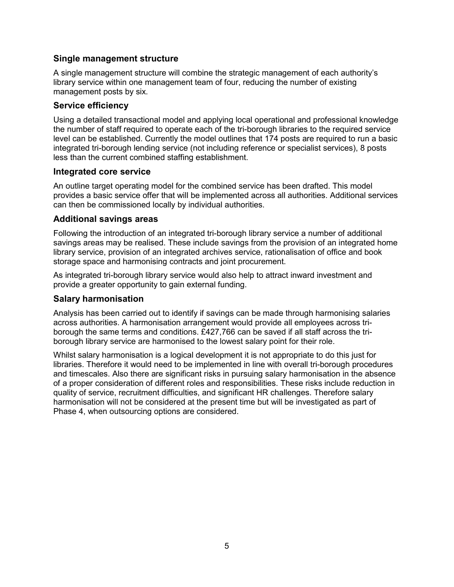#### **Single management structure**

A single management structure will combine the strategic management of each authority's library service within one management team of four, reducing the number of existing management posts by six.

#### **Service efficiency**

Using a detailed transactional model and applying local operational and professional knowledge the number of staff required to operate each of the tri-borough libraries to the required service level can be established. Currently the model outlines that 174 posts are required to run a basic integrated tri-borough lending service (not including reference or specialist services), 8 posts less than the current combined staffing establishment.

#### **Integrated core service**

An outline target operating model for the combined service has been drafted. This model provides a basic service offer that will be implemented across all authorities. Additional services can then be commissioned locally by individual authorities.

#### **Additional savings areas**

Following the introduction of an integrated tri-borough library service a number of additional savings areas may be realised. These include savings from the provision of an integrated home library service, provision of an integrated archives service, rationalisation of office and book storage space and harmonising contracts and joint procurement.

As integrated tri-borough library service would also help to attract inward investment and provide a greater opportunity to gain external funding.

### **Salary harmonisation**

Analysis has been carried out to identify if savings can be made through harmonising salaries across authorities. A harmonisation arrangement would provide all employees across triborough the same terms and conditions. £427,766 can be saved if all staff across the triborough library service are harmonised to the lowest salary point for their role.

Whilst salary harmonisation is a logical development it is not appropriate to do this just for libraries. Therefore it would need to be implemented in line with overall tri-borough procedures and timescales. Also there are significant risks in pursuing salary harmonisation in the absence of a proper consideration of different roles and responsibilities. These risks include reduction in quality of service, recruitment difficulties, and significant HR challenges. Therefore salary harmonisation will not be considered at the present time but will be investigated as part of Phase 4, when outsourcing options are considered.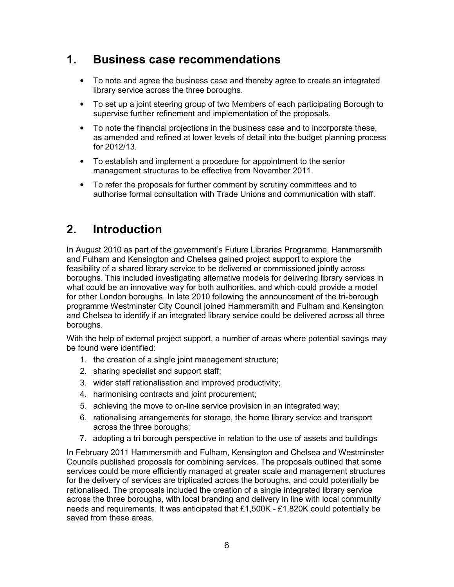## <span id="page-5-0"></span>**1. Business case recommendations**

- To note and agree the business case and thereby agree to create an integrated library service across the three boroughs.
- To set up a joint steering group of two Members of each participating Borough to supervise further refinement and implementation of the proposals.
- To note the financial projections in the business case and to incorporate these, as amended and refined at lower levels of detail into the budget planning process for 2012/13.
- To establish and implement a procedure for appointment to the senior management structures to be effective from November 2011.
- To refer the proposals for further comment by scrutiny committees and to authorise formal consultation with Trade Unions and communication with staff.

## **2. Introduction**

In August 2010 as part of the government's Future Libraries Programme, Hammersmith and Fulham and Kensington and Chelsea gained project support to explore the feasibility of a shared library service to be delivered or commissioned jointly across boroughs. This included investigating alternative models for delivering library services in what could be an innovative way for both authorities, and which could provide a model for other London boroughs. In late 2010 following the announcement of the tri-borough programme Westminster City Council joined Hammersmith and Fulham and Kensington and Chelsea to identify if an integrated library service could be delivered across all three boroughs.

With the help of external project support, a number of areas where potential savings may be found were identified:

- 1. the creation of a single joint management structure;
- 2. sharing specialist and support staff;
- 3. wider staff rationalisation and improved productivity;
- 4. harmonising contracts and joint procurement;
- 5. achieving the move to on-line service provision in an integrated way;
- 6. rationalising arrangements for storage, the home library service and transport across the three boroughs;
- 7. adopting a tri borough perspective in relation to the use of assets and buildings

In February 2011 Hammersmith and Fulham, Kensington and Chelsea and Westminster Councils published proposals for combining services. The proposals outlined that some services could be more efficiently managed at greater scale and management structures for the delivery of services are triplicated across the boroughs, and could potentially be rationalised. The proposals included the creation of a single integrated library service across the three boroughs, with local branding and delivery in line with local community needs and requirements. It was anticipated that  $£1,500K - £1,820K$  could potentially be saved from these areas.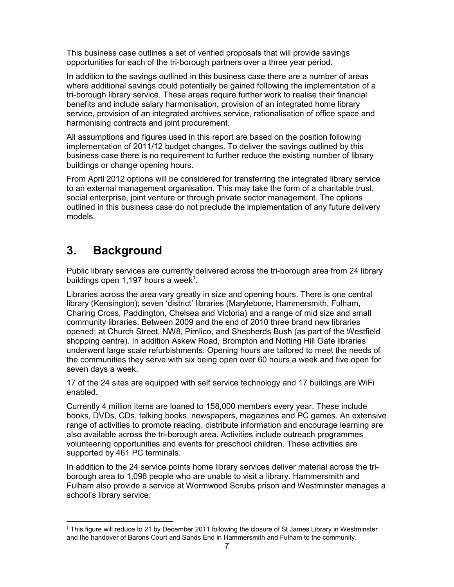<span id="page-6-0"></span>This business case outlines a set of verified proposals that will provide savings opportunities for each of the tri-borough partners over a three year period.

In addition to the savings outlined in this business case there are a number of areas where additional savings could potentially be gained following the implementation of a tri-borough library service. These areas require further work to realise their financial benefits and include salary harmonisation, provision of an integrated home library service, provision of an integrated archives service, rationalisation of office space and harmonising contracts and joint procurement.

All assumptions and figures used in this report are based on the position following implementation of 2011/12 budget changes. To deliver the savings outlined by this business case there is no requirement to further reduce the existing number of library buildings or change opening hours.

From April 2012 options will be considered for transferring the integrated library service to an external management organisation. This may take the form of a charitable trust, social enterprise, joint venture or through private sector management. The options outlined in this business case do not preclude the implementation of any future delivery models.

## **3. Background**

 $\overline{a}$ 

Public library services are currently delivered across the tri-borough area from 24 library buildings open 1,197 hours a week $1$ .

Libraries across the area vary greatly in size and opening hours. There is one central library (Kensington); seven 'district' libraries (Marylebone, Hammersmith, Fulham, Charing Cross, Paddington, Chelsea and Victoria) and a range of mid size and small community libraries. Between 2009 and the end of 2010 three brand new libraries opened: at Church Street, NW8, Pimlico, and Shepherds Bush (as part of the Westfield shopping centre). In addition Askew Road, Brompton and Notting Hill Gate libraries underwent large scale refurbishments. Opening hours are tailored to meet the needs of the communities they serve with six being open over 60 hours a week and five open for seven days a week.

17 of the 24 sites are equipped with self service technology and 17 buildings are WiFi enabled.

Currently 4 million items are loaned to 158,000 members every year. These include books, DVDs, CDs, talking books, newspapers, magazines and PC games. An extensive range of activities to promote reading, distribute information and encourage learning are also available across the tri-borough area. Activities include outreach programmes volunteering opportunities and events for preschool children. These activities are supported by 461 PC terminals.

In addition to the 24 service points home library services deliver material across the triborough area to 1,098 people who are unable to visit a library. Hammersmith and Fulham also provide a service at Wormwood Scrubs prison and Westminster manages a school's library service.

 $1$  This figure will reduce to 21 by December 2011 following the closure of St James Library in Westminster and the handover of Barons Court and Sands End in Hammersmith and Fulham to the community.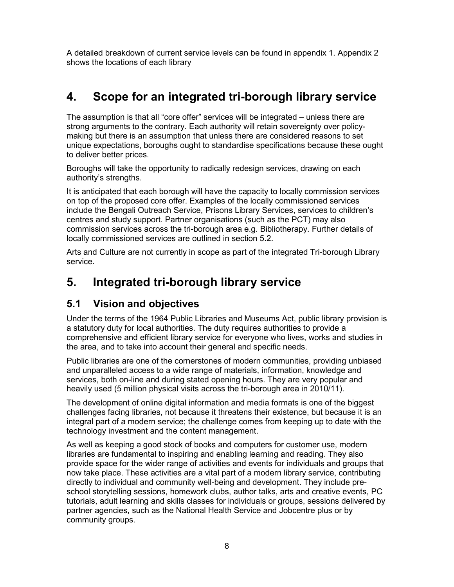<span id="page-7-0"></span>A detailed breakdown of current service levels can be found in appendix 1. Appendix 2 shows the locations of each library

## **4. Scope for an integrated tri-borough library service**

The assumption is that all "core offer" services will be integrated – unless there are strong arguments to the contrary. Each authority will retain sovereignty over policymaking but there is an assumption that unless there are considered reasons to set unique expectations, boroughs ought to standardise specifications because these ought to deliver better prices.

Boroughs will take the opportunity to radically redesign services, drawing on each authority's strengths.

It is anticipated that each borough will have the capacity to locally commission services on top of the proposed core offer. Examples of the locally commissioned services include the Bengali Outreach Service, Prisons Library Services, services to children's centres and study support. Partner organisations (such as the PCT) may also commission services across the tri-borough area e.g. Bibliotherapy. Further details of locally commissioned services are outlined in section 5.2.

Arts and Culture are not currently in scope as part of the integrated Tri-borough Library service.

## **5. Integrated tri-borough library service**

### **5.1 Vision and objectives**

Under the terms of the 1964 Public Libraries and Museums Act, public library provision is a statutory duty for local authorities. The duty requires authorities to provide a comprehensive and efficient library service for everyone who lives, works and studies in the area, and to take into account their general and specific needs.

Public libraries are one of the cornerstones of modern communities, providing unbiased and unparalleled access to a wide range of materials, information, knowledge and services, both on-line and during stated opening hours. They are very popular and heavily used (5 million physical visits across the tri-borough area in 2010/11).

The development of online digital information and media formats is one of the biggest challenges facing libraries, not because it threatens their existence, but because it is an integral part of a modern service; the challenge comes from keeping up to date with the technology investment and the content management.

As well as keeping a good stock of books and computers for customer use, modern libraries are fundamental to inspiring and enabling learning and reading. They also provide space for the wider range of activities and events for individuals and groups that now take place. These activities are a vital part of a modern library service, contributing directly to individual and community well-being and development. They include preschool storytelling sessions, homework clubs, author talks, arts and creative events, PC tutorials, adult learning and skills classes for individuals or groups, sessions delivered by partner agencies, such as the National Health Service and Jobcentre plus or by community groups.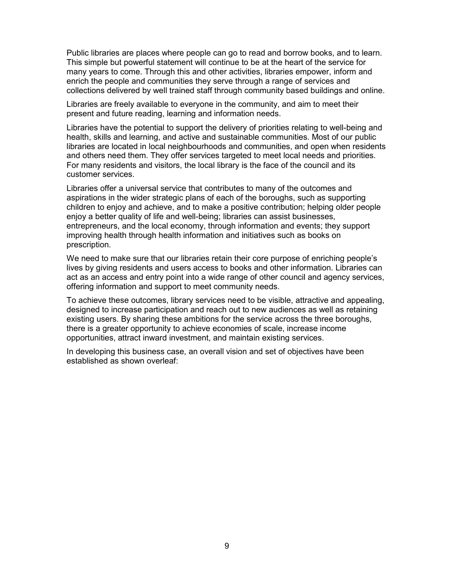Public libraries are places where people can go to read and borrow books, and to learn. This simple but powerful statement will continue to be at the heart of the service for many years to come. Through this and other activities, libraries empower, inform and enrich the people and communities they serve through a range of services and collections delivered by well trained staff through community based buildings and online.

Libraries are freely available to everyone in the community, and aim to meet their present and future reading, learning and information needs.

Libraries have the potential to support the delivery of priorities relating to well-being and health, skills and learning, and active and sustainable communities. Most of our public libraries are located in local neighbourhoods and communities, and open when residents and others need them. They offer services targeted to meet local needs and priorities. For many residents and visitors, the local library is the face of the council and its customer services.

Libraries offer a universal service that contributes to many of the outcomes and aspirations in the wider strategic plans of each of the boroughs, such as supporting children to enjoy and achieve, and to make a positive contribution; helping older people enjoy a better quality of life and well-being; libraries can assist businesses, entrepreneurs, and the local economy, through information and events; they support improving health through health information and initiatives such as books on prescription.

We need to make sure that our libraries retain their core purpose of enriching people's lives by giving residents and users access to books and other information. Libraries can act as an access and entry point into a wide range of other council and agency services, offering information and support to meet community needs.

To achieve these outcomes, library services need to be visible, attractive and appealing, designed to increase participation and reach out to new audiences as well as retaining existing users. By sharing these ambitions for the service across the three boroughs, there is a greater opportunity to achieve economies of scale, increase income opportunities, attract inward investment, and maintain existing services.

In developing this business case, an overall vision and set of objectives have been established as shown overleaf: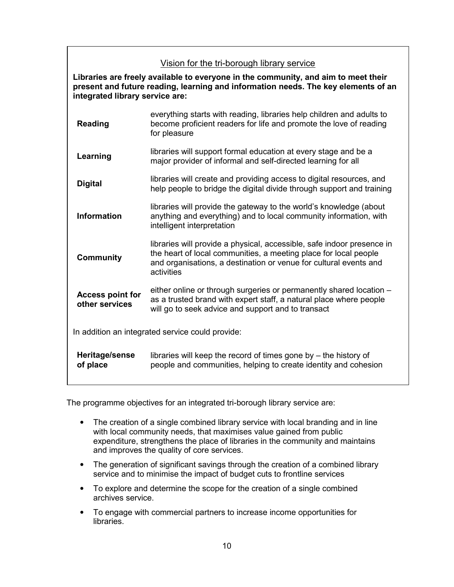### Vision for the tri-borough library service

**Libraries are freely available to everyone in the community, and aim to meet their present and future reading, learning and information needs. The key elements of an integrated library service are:** 

| <b>Reading</b>                            | everything starts with reading, libraries help children and adults to<br>become proficient readers for life and promote the love of reading<br>for pleasure                                                                   |
|-------------------------------------------|-------------------------------------------------------------------------------------------------------------------------------------------------------------------------------------------------------------------------------|
| Learning                                  | libraries will support formal education at every stage and be a<br>major provider of informal and self-directed learning for all                                                                                              |
| <b>Digital</b>                            | libraries will create and providing access to digital resources, and<br>help people to bridge the digital divide through support and training                                                                                 |
| <b>Information</b>                        | libraries will provide the gateway to the world's knowledge (about<br>anything and everything) and to local community information, with<br>intelligent interpretation                                                         |
| <b>Community</b>                          | libraries will provide a physical, accessible, safe indoor presence in<br>the heart of local communities, a meeting place for local people<br>and organisations, a destination or venue for cultural events and<br>activities |
| <b>Access point for</b><br>other services | either online or through surgeries or permanently shared location -<br>as a trusted brand with expert staff, a natural place where people<br>will go to seek advice and support and to transact                               |
|                                           | In addition an integrated service could provide:                                                                                                                                                                              |
| Heritage/sense<br>of place                | libraries will keep the record of times gone by $-$ the history of<br>people and communities, helping to create identity and cohesion                                                                                         |

The programme objectives for an integrated tri-borough library service are:

- The creation of a single combined library service with local branding and in line with local community needs, that maximises value gained from public expenditure, strengthens the place of libraries in the community and maintains and improves the quality of core services.
- The generation of significant savings through the creation of a combined library service and to minimise the impact of budget cuts to frontline services
- To explore and determine the scope for the creation of a single combined archives service.
- To engage with commercial partners to increase income opportunities for libraries.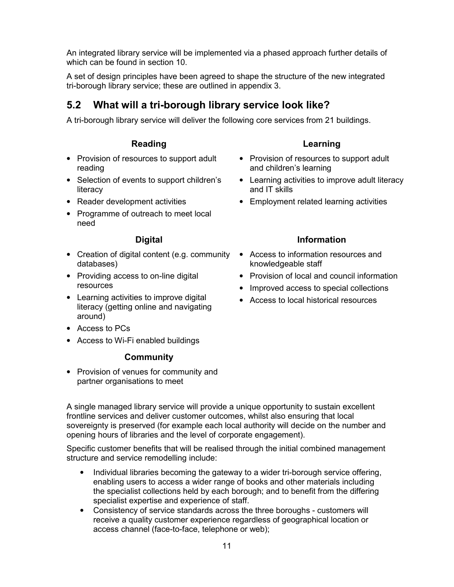<span id="page-10-0"></span>An integrated library service will be implemented via a phased approach further details of which can be found in section 10.

A set of design principles have been agreed to shape the structure of the new integrated tri-borough library service; these are outlined in appendix 3.

## **5.2 What will a tri-borough library service look like?**

A tri-borough library service will deliver the following core services from 21 buildings.

### **Reading**

- Provision of resources to support adult reading
- Selection of events to support children's **literacy**
- Reader development activities
- Programme of outreach to meet local need

### **Digital**

- Creation of digital content (e.g. community Access to information resources and databases)
- Providing access to on-line digital resources
- Learning activities to improve digital literacy (getting online and navigating around)
- Access to PCs
- Access to Wi-Fi enabled buildings

### **Community**

• Provision of venues for community and partner organisations to meet

### **Learning**

- Provision of resources to support adult and children's learning
- Learning activities to improve adult literacy and IT skills
- Employment related learning activities

### **Information**

- knowledgeable staff
- Provision of local and council information
- Improved access to special collections
- Access to local historical resources

A single managed library service will provide a unique opportunity to sustain excellent frontline services and deliver customer outcomes, whilst also ensuring that local sovereignty is preserved (for example each local authority will decide on the number and opening hours of libraries and the level of corporate engagement).

Specific customer benefits that will be realised through the initial combined management structure and service remodelling include:

- Individual libraries becoming the gateway to a wider tri-borough service offering, enabling users to access a wider range of books and other materials including the specialist collections held by each borough; and to benefit from the differing specialist expertise and experience of staff.
- Consistency of service standards across the three boroughs customers will receive a quality customer experience regardless of geographical location or access channel (face-to-face, telephone or web);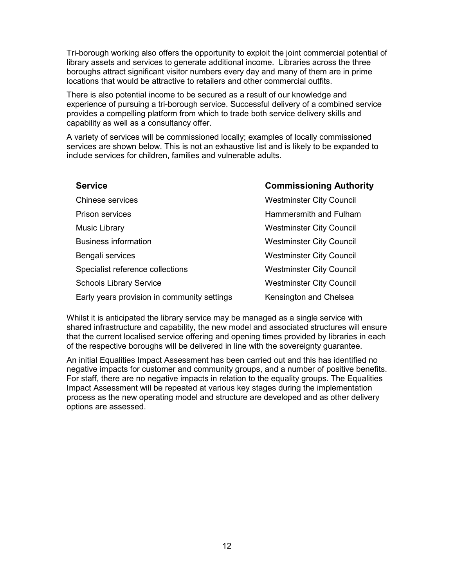Tri-borough working also offers the opportunity to exploit the joint commercial potential of library assets and services to generate additional income. Libraries across the three boroughs attract significant visitor numbers every day and many of them are in prime locations that would be attractive to retailers and other commercial outfits.

There is also potential income to be secured as a result of our knowledge and experience of pursuing a tri-borough service. Successful delivery of a combined service provides a compelling platform from which to trade both service delivery skills and capability as well as a consultancy offer.

A variety of services will be commissioned locally; examples of locally commissioned services are shown below. This is not an exhaustive list and is likely to be expanded to include services for children, families and vulnerable adults.

| <b>Service</b>                              | <b>Commissioning Authority</b>  |
|---------------------------------------------|---------------------------------|
| Chinese services                            | <b>Westminster City Council</b> |
| <b>Prison services</b>                      | Hammersmith and Fulham          |
| Music Library                               | <b>Westminster City Council</b> |
| <b>Business information</b>                 | <b>Westminster City Council</b> |
| Bengali services                            | <b>Westminster City Council</b> |
| Specialist reference collections            | <b>Westminster City Council</b> |
| <b>Schools Library Service</b>              | <b>Westminster City Council</b> |
| Early years provision in community settings | Kensington and Chelsea          |

Whilst it is anticipated the library service may be managed as a single service with shared infrastructure and capability, the new model and associated structures will ensure that the current localised service offering and opening times provided by libraries in each of the respective boroughs will be delivered in line with the sovereignty guarantee.

An initial Equalities Impact Assessment has been carried out and this has identified no negative impacts for customer and community groups, and a number of positive benefits. For staff, there are no negative impacts in relation to the equality groups. The Equalities Impact Assessment will be repeated at various key stages during the implementation process as the new operating model and structure are developed and as other delivery options are assessed.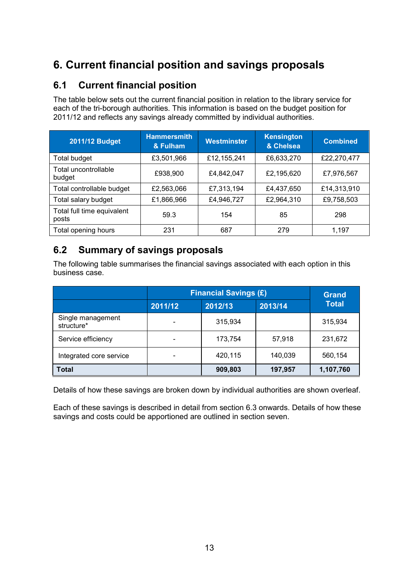## <span id="page-12-0"></span>**6. Current financial position and savings proposals**

### **6.1 Current financial position**

The table below sets out the current financial position in relation to the library service for each of the tri-borough authorities. This information is based on the budget position for 2011/12 and reflects any savings already committed by individual authorities.

| <b>2011/12 Budget</b>               | <b>Hammersmith</b><br>& Fulham | <b>Westminster</b> | <b>Kensington</b><br>& Chelsea | <b>Combined</b> |
|-------------------------------------|--------------------------------|--------------------|--------------------------------|-----------------|
| <b>Total budget</b>                 | £3,501,966                     | £12,155,241        | £6,633,270                     | £22,270,477     |
| Total uncontrollable<br>budget      | £938,900                       | £4,842,047         | £2,195,620                     | £7,976,567      |
| Total controllable budget           | £2,563,066                     | £7,313,194         | £4,437,650                     | £14,313,910     |
| Total salary budget                 | £1,866,966                     | £4,946,727         | £2,964,310                     | £9,758,503      |
| Total full time equivalent<br>posts | 59.3                           | 154                | 85                             | 298             |
| Total opening hours                 | 231                            | 687                | 279                            | 1.197           |

### **6.2 Summary of savings proposals**

The following table summarises the financial savings associated with each option in this business case.

|                                 |         | <b>Financial Savings (£)</b> |         |           |  |  |
|---------------------------------|---------|------------------------------|---------|-----------|--|--|
|                                 | 2011/12 | <b>Total</b>                 |         |           |  |  |
| Single management<br>structure* |         | 315,934                      |         | 315,934   |  |  |
| Service efficiency              |         | 173,754                      | 57,918  | 231,672   |  |  |
| Integrated core service         |         | 420,115                      | 140,039 | 560,154   |  |  |
| <b>Total</b>                    |         | 909,803                      | 197,957 | 1,107,760 |  |  |

Details of how these savings are broken down by individual authorities are shown overleaf.

Each of these savings is described in detail from section 6.3 onwards. Details of how these savings and costs could be apportioned are outlined in section seven.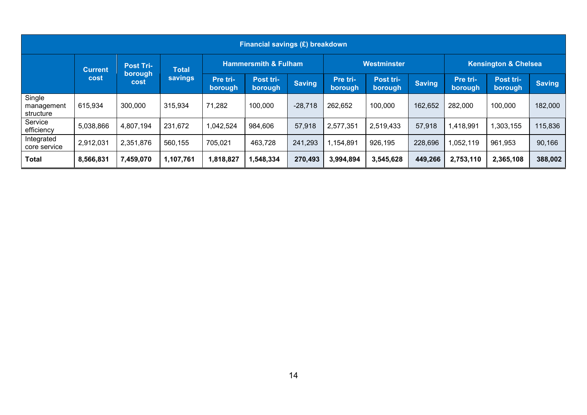| Financial savings (£) breakdown   |                |                                                                       |                     |                                 |               |                     |                      |                                 |                     |                      |               |         |
|-----------------------------------|----------------|-----------------------------------------------------------------------|---------------------|---------------------------------|---------------|---------------------|----------------------|---------------------------------|---------------------|----------------------|---------------|---------|
|                                   | <b>Current</b> | <b>Post Tri-</b><br><b>Total</b><br>borough<br>savings<br><b>cost</b> |                     | <b>Hammersmith &amp; Fulham</b> |               | Westminster         |                      | <b>Kensington &amp; Chelsea</b> |                     |                      |               |         |
|                                   | cost           |                                                                       | Pre tri-<br>borough | Post tri-<br>borough            | <b>Saving</b> | Pre tri-<br>borough | Post tri-<br>borough | <b>Saving</b>                   | Pre tri-<br>borough | Post tri-<br>borough | <b>Saving</b> |         |
| Single<br>management<br>structure | 615,934        | 300,000                                                               | 315,934             | 71,282                          | 100,000       | $-28,718$           | 262,652              | 100,000                         | 162,652             | 282,000              | 100,000       | 182,000 |
| Service<br>efficiency             | 5,038,866      | 4,807,194                                                             | 231,672             | 1,042,524                       | 984,606       | 57,918              | 2,577,351            | 2,519,433                       | 57,918              | 1,418,991            | 1,303,155     | 115,836 |
| Integrated<br>core service        | 2,912,031      | 2,351,876                                                             | 560,155             | 705,021                         | 463,728       | 241,293             | ,154,891             | 926,195                         | 228,696             | 1,052,119            | 961,953       | 90,166  |
| <b>Total</b>                      | 8,566,831      | 7,459,070                                                             | 1,107,761           | 1,818,827                       | 1,548,334     | 270,493             | 3,994,894            | 3,545,628                       | 449,266             | 2,753,110            | 2,365,108     | 388,002 |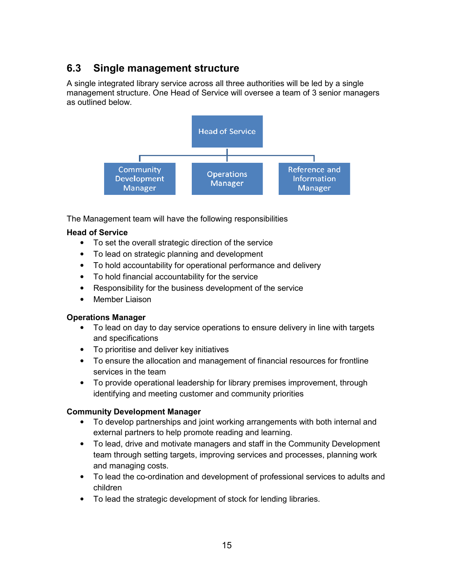## <span id="page-14-0"></span>**6.3 Single management structure**

A single integrated library service across all three authorities will be led by a single management structure. One Head of Service will oversee a team of 3 senior managers as outlined below.



The Management team will have the following responsibilities

#### **Head of Service**

- To set the overall strategic direction of the service
- To lead on strategic planning and development
- To hold accountability for operational performance and delivery
- To hold financial accountability for the service
- Responsibility for the business development of the service
- Member Liaison

#### **Operations Manager**

- To lead on day to day service operations to ensure delivery in line with targets and specifications
- To prioritise and deliver key initiatives
- To ensure the allocation and management of financial resources for frontline services in the team
- To provide operational leadership for library premises improvement, through identifying and meeting customer and community priorities

### **Community Development Manager**

- To develop partnerships and joint working arrangements with both internal and external partners to help promote reading and learning.
- To lead, drive and motivate managers and staff in the Community Development team through setting targets, improving services and processes, planning work and managing costs.
- To lead the co-ordination and development of professional services to adults and children
- To lead the strategic development of stock for lending libraries.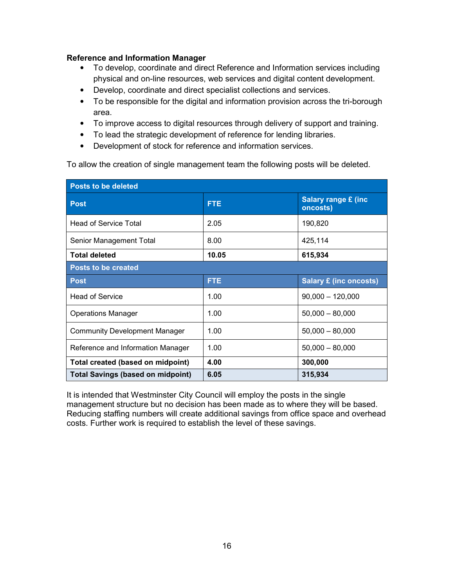#### **Reference and Information Manager**

- To develop, coordinate and direct Reference and Information services including physical and on-line resources, web services and digital content development.
- Develop, coordinate and direct specialist collections and services.
- To be responsible for the digital and information provision across the tri-borough area.
- To improve access to digital resources through delivery of support and training.
- To lead the strategic development of reference for lending libraries.
- Development of stock for reference and information services.

To allow the creation of single management team the following posts will be deleted.

| <b>Posts to be deleted</b>               |            |                                         |  |  |  |  |
|------------------------------------------|------------|-----------------------------------------|--|--|--|--|
| <b>Post</b>                              | <b>FTE</b> | <b>Salary range £ (inc.</b><br>oncosts) |  |  |  |  |
| <b>Head of Service Total</b>             | 2.05       | 190,820                                 |  |  |  |  |
| Senior Management Total                  | 8.00       | 425,114                                 |  |  |  |  |
| <b>Total deleted</b>                     | 10.05      | 615,934                                 |  |  |  |  |
| <b>Posts to be created</b>               |            |                                         |  |  |  |  |
| <b>Post</b>                              | <b>FTE</b> | <b>Salary £ (inc oncosts)</b>           |  |  |  |  |
| <b>Head of Service</b>                   | 1.00       | $90,000 - 120,000$                      |  |  |  |  |
| <b>Operations Manager</b>                | 1.00       | $50,000 - 80,000$                       |  |  |  |  |
| <b>Community Development Manager</b>     | 1.00       | $50,000 - 80,000$                       |  |  |  |  |
| Reference and Information Manager        | 1.00       | $50,000 - 80,000$                       |  |  |  |  |
| Total created (based on midpoint)        | 4.00       | 300,000                                 |  |  |  |  |
| <b>Total Savings (based on midpoint)</b> | 6.05       | 315,934                                 |  |  |  |  |

It is intended that Westminster City Council will employ the posts in the single management structure but no decision has been made as to where they will be based. Reducing staffing numbers will create additional savings from office space and overhead costs. Further work is required to establish the level of these savings.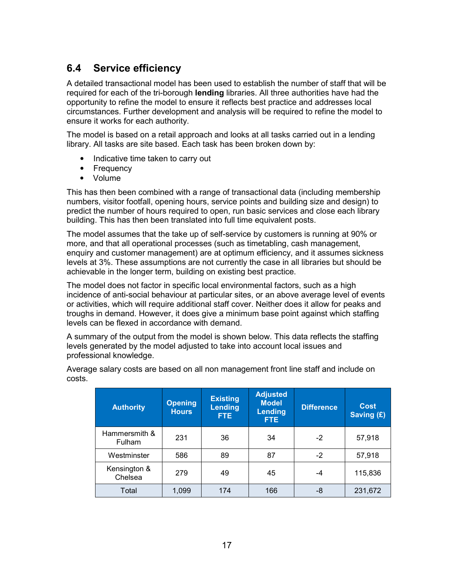### <span id="page-16-0"></span>**6.4 Service efficiency**

A detailed transactional model has been used to establish the number of staff that will be required for each of the tri-borough **lending** libraries. All three authorities have had the opportunity to refine the model to ensure it reflects best practice and addresses local circumstances. Further development and analysis will be required to refine the model to ensure it works for each authority.

The model is based on a retail approach and looks at all tasks carried out in a lending library. All tasks are site based. Each task has been broken down by:

- Indicative time taken to carry out
- Frequency
- Volume

This has then been combined with a range of transactional data (including membership numbers, visitor footfall, opening hours, service points and building size and design) to predict the number of hours required to open, run basic services and close each library building. This has then been translated into full time equivalent posts.

The model assumes that the take up of self-service by customers is running at 90% or more, and that all operational processes (such as timetabling, cash management, enquiry and customer management) are at optimum efficiency, and it assumes sickness levels at 3%. These assumptions are not currently the case in all libraries but should be achievable in the longer term, building on existing best practice.

The model does not factor in specific local environmental factors, such as a high incidence of anti-social behaviour at particular sites, or an above average level of events or activities, which will require additional staff cover. Neither does it allow for peaks and troughs in demand. However, it does give a minimum base point against which staffing levels can be flexed in accordance with demand.

A summary of the output from the model is shown below. This data reflects the staffing levels generated by the model adjusted to take into account local issues and professional knowledge.

| <b>Authority</b>        | <b>Opening</b><br><b>Hours</b> | <b>Existing</b><br><b>Lending</b><br>FTE. | <b>Adjusted</b><br><b>Model</b><br><b>Lending</b><br>FTE. | <b>Difference</b> | <b>Cost</b><br>Saving (£) |
|-------------------------|--------------------------------|-------------------------------------------|-----------------------------------------------------------|-------------------|---------------------------|
| Hammersmith &<br>Fulham | 231                            | 36                                        | 34                                                        | $-2$              | 57,918                    |
| Westminster             | 586                            | 89                                        | 87                                                        | $-2$              | 57,918                    |
| Kensington &<br>Chelsea | 279                            | 49                                        | 45                                                        | -4                | 115,836                   |
| Total                   | 1,099                          | 174                                       | 166                                                       | -8                | 231,672                   |

Average salary costs are based on all non management front line staff and include on costs.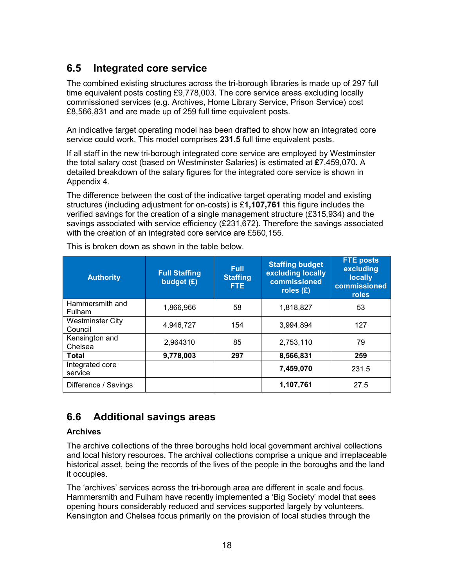## <span id="page-17-0"></span>**6.5 Integrated core service**

The combined existing structures across the tri-borough libraries is made up of 297 full time equivalent posts costing £9,778,003. The core service areas excluding locally commissioned services (e.g. Archives, Home Library Service, Prison Service) cost £8,566,831 and are made up of 259 full time equivalent posts.

An indicative target operating model has been drafted to show how an integrated core service could work. This model comprises **231.5** full time equivalent posts.

If all staff in the new tri-borough integrated core service are employed by Westminster the total salary cost (based on Westminster Salaries) is estimated at **£**7,459,070**.** A detailed breakdown of the salary figures for the integrated core service is shown in Appendix 4.

The difference between the cost of the indicative target operating model and existing structures (including adjustment for on-costs) is £**1,107,761** this figure includes the verified savings for the creation of a single management structure (£315,934) and the savings associated with service efficiency (£231,672). Therefore the savings associated with the creation of an integrated core service are £560,155.

| <b>Authority</b>                   | <b>Full Staffing</b><br>budget (£) | <b>Full</b><br><b>Staffing</b><br>FTE. | <b>Staffing budget</b><br>excluding locally<br>commissioned<br>roles $(E)$ | <b>FTE posts</b><br>excluding<br><b>locally</b><br>commissioned<br>roles |
|------------------------------------|------------------------------------|----------------------------------------|----------------------------------------------------------------------------|--------------------------------------------------------------------------|
| Hammersmith and<br><b>Fulham</b>   | 1,866,966                          | 58                                     | 1,818,827                                                                  | 53                                                                       |
| <b>Westminster City</b><br>Council | 4.946.727                          | 154                                    | 3,994,894                                                                  | 127                                                                      |
| Kensington and<br>Chelsea          | 2,964310                           | 85                                     | 2,753,110                                                                  | 79                                                                       |
| <b>Total</b>                       | 9,778,003                          | 297                                    | 8,566,831                                                                  | 259                                                                      |
| Integrated core<br>service         |                                    |                                        | 7,459,070                                                                  | 231.5                                                                    |
| Difference / Savings               |                                    |                                        | 1,107,761                                                                  | 27.5                                                                     |

This is broken down as shown in the table below.

### **6.6 Additional savings areas**

#### **Archives**

The archive collections of the three boroughs hold local government archival collections and local history resources. The archival collections comprise a unique and irreplaceable historical asset, being the records of the lives of the people in the boroughs and the land it occupies.

The 'archives' services across the tri-borough area are different in scale and focus. Hammersmith and Fulham have recently implemented a 'Big Society' model that sees opening hours considerably reduced and services supported largely by volunteers. Kensington and Chelsea focus primarily on the provision of local studies through the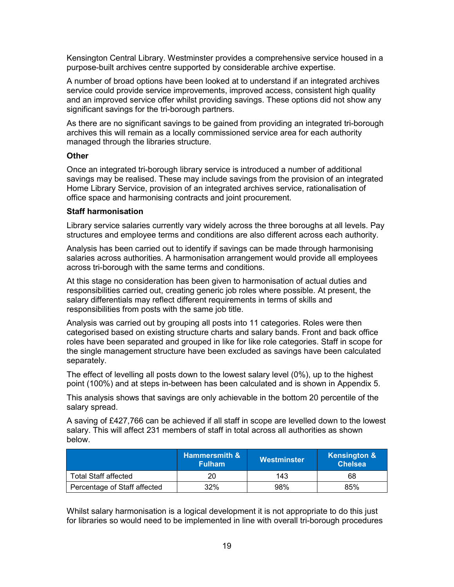Kensington Central Library. Westminster provides a comprehensive service housed in a purpose-built archives centre supported by considerable archive expertise.

A number of broad options have been looked at to understand if an integrated archives service could provide service improvements, improved access, consistent high quality and an improved service offer whilst providing savings. These options did not show any significant savings for the tri-borough partners.

As there are no significant savings to be gained from providing an integrated tri-borough archives this will remain as a locally commissioned service area for each authority managed through the libraries structure.

#### **Other**

Once an integrated tri-borough library service is introduced a number of additional savings may be realised. These may include savings from the provision of an integrated Home Library Service, provision of an integrated archives service, rationalisation of office space and harmonising contracts and joint procurement.

#### **Staff harmonisation**

Library service salaries currently vary widely across the three boroughs at all levels. Pay structures and employee terms and conditions are also different across each authority.

Analysis has been carried out to identify if savings can be made through harmonising salaries across authorities. A harmonisation arrangement would provide all employees across tri-borough with the same terms and conditions.

At this stage no consideration has been given to harmonisation of actual duties and responsibilities carried out, creating generic job roles where possible. At present, the salary differentials may reflect different requirements in terms of skills and responsibilities from posts with the same job title.

Analysis was carried out by grouping all posts into 11 categories. Roles were then categorised based on existing structure charts and salary bands. Front and back office roles have been separated and grouped in like for like role categories. Staff in scope for the single management structure have been excluded as savings have been calculated separately.

The effect of levelling all posts down to the lowest salary level (0%), up to the highest point (100%) and at steps in-between has been calculated and is shown in Appendix 5.

This analysis shows that savings are only achievable in the bottom 20 percentile of the salary spread.

A saving of £427,766 can be achieved if all staff in scope are levelled down to the lowest salary. This will affect 231 members of staff in total across all authorities as shown below.

|                              | <b>Hammersmith &amp;</b><br><b>Fulham</b> | Westminster | <b>Kensington &amp;</b><br><b>Chelsea</b> |
|------------------------------|-------------------------------------------|-------------|-------------------------------------------|
| <b>Total Staff affected</b>  | 20                                        | 143         | 68                                        |
| Percentage of Staff affected | 32%                                       | 98%         | 85%                                       |

Whilst salary harmonisation is a logical development it is not appropriate to do this just for libraries so would need to be implemented in line with overall tri-borough procedures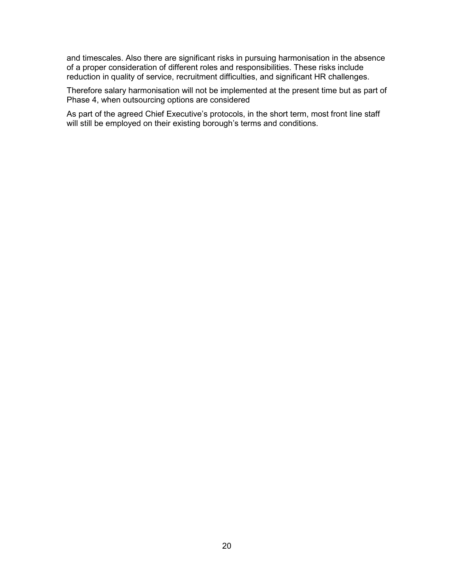and timescales. Also there are significant risks in pursuing harmonisation in the absence of a proper consideration of different roles and responsibilities. These risks include reduction in quality of service, recruitment difficulties, and significant HR challenges.

Therefore salary harmonisation will not be implemented at the present time but as part of Phase 4, when outsourcing options are considered

As part of the agreed Chief Executive's protocols, in the short term, most front line staff will still be employed on their existing borough's terms and conditions.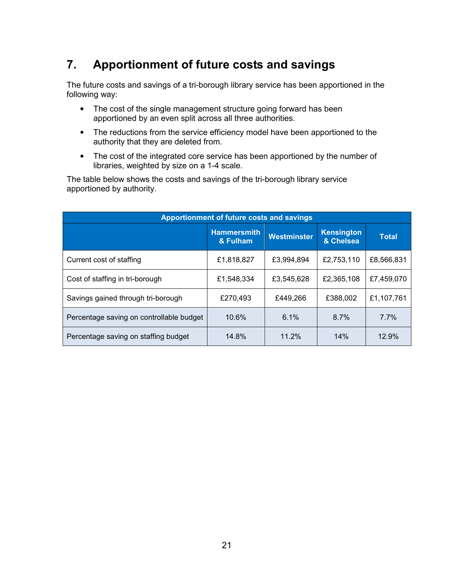## <span id="page-20-0"></span>**7. Apportionment of future costs and savings**

The future costs and savings of a tri-borough library service has been apportioned in the following way:

- The cost of the single management structure going forward has been apportioned by an even split across all three authorities.
- The reductions from the service efficiency model have been apportioned to the authority that they are deleted from.
- The cost of the integrated core service has been apportioned by the number of libraries, weighted by size on a 1-4 scale.

The table below shows the costs and savings of the tri-borough library service apportioned by authority.

| Apportionment of future costs and savings |                                |             |                                |              |  |  |  |  |  |
|-------------------------------------------|--------------------------------|-------------|--------------------------------|--------------|--|--|--|--|--|
|                                           | <b>Hammersmith</b><br>& Fulham | Westminster | <b>Kensington</b><br>& Chelsea | <b>Total</b> |  |  |  |  |  |
| Current cost of staffing                  | £1,818,827                     | £3,994,894  | £2,753,110                     | £8,566,831   |  |  |  |  |  |
| Cost of staffing in tri-borough           | £1,548,334                     | £3,545,628  | £2,365,108                     | £7,459,070   |  |  |  |  |  |
| Savings gained through tri-borough        | £270,493                       | £449,266    | £388,002                       | £1,107,761   |  |  |  |  |  |
| Percentage saving on controllable budget  | 10.6%                          | 6.1%        | 8.7%                           | 7.7%         |  |  |  |  |  |
| Percentage saving on staffing budget      | 14.8%                          | 11.2%       | 14%                            | 12.9%        |  |  |  |  |  |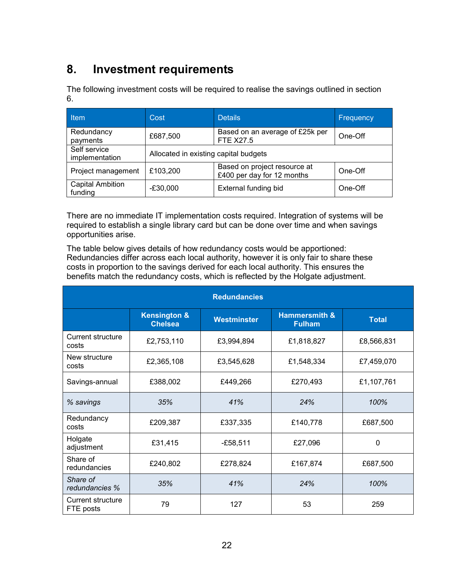## <span id="page-21-0"></span>**8. Investment requirements**

The following investment costs will be required to realise the savings outlined in section 6.

| <b>Item</b>                        | Cost       | <b>Details</b>                        | Frequency |  |  |  |  |
|------------------------------------|------------|---------------------------------------|-----------|--|--|--|--|
| Redundancy<br>payments             | £687,500   | One-Off                               |           |  |  |  |  |
| Self service<br>implementation     |            | Allocated in existing capital budgets |           |  |  |  |  |
| Project management                 | £103,200   | One-Off                               |           |  |  |  |  |
| <b>Capital Ambition</b><br>funding | $-£30,000$ | External funding bid                  | One-Off   |  |  |  |  |

There are no immediate IT implementation costs required. Integration of systems will be required to establish a single library card but can be done over time and when savings opportunities arise.

The table below gives details of how redundancy costs would be apportioned: Redundancies differ across each local authority, however it is only fair to share these costs in proportion to the savings derived for each local authority. This ensures the benefits match the redundancy costs, which is reflected by the Holgate adjustment.

| <b>Redundancies</b>                   |                                           |             |                                           |              |  |  |  |  |  |
|---------------------------------------|-------------------------------------------|-------------|-------------------------------------------|--------------|--|--|--|--|--|
|                                       | <b>Kensington &amp;</b><br><b>Chelsea</b> | Westminster | <b>Hammersmith &amp;</b><br><b>Fulham</b> | <b>Total</b> |  |  |  |  |  |
| <b>Current structure</b><br>costs     | £2,753,110                                | £3,994,894  | £1,818,827                                | £8,566,831   |  |  |  |  |  |
| New structure<br>costs                | £2,365,108                                | £3,545,628  | £1,548,334                                | £7,459,070   |  |  |  |  |  |
| Savings-annual                        | £388,002                                  | £449,266    | £270,493                                  | £1,107,761   |  |  |  |  |  |
| 35%<br>% savings                      |                                           | 41%         | 24%                                       | 100%         |  |  |  |  |  |
| Redundancy<br>costs                   | £209,387                                  | £337,335    | £140,778                                  | £687,500     |  |  |  |  |  |
| Holgate<br>adjustment                 | £31,415                                   | -£58,511    | £27,096                                   | 0            |  |  |  |  |  |
| Share of<br>redundancies              | £240,802                                  | £278,824    | £167,874                                  | £687,500     |  |  |  |  |  |
| Share of<br>redundancies %            | 35%                                       | 41%         | 24%                                       | 100%         |  |  |  |  |  |
| <b>Current structure</b><br>FTE posts | 79                                        | 127         | 53                                        | 259          |  |  |  |  |  |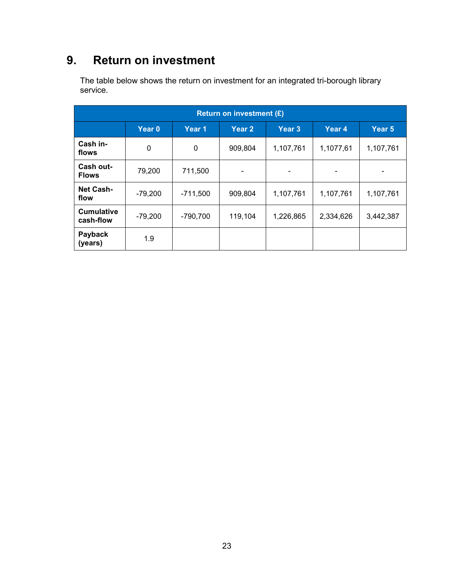## <span id="page-22-0"></span>**9. Return on investment**

The table below shows the return on investment for an integrated tri-borough library service.

| <b>Return on investment (£)</b> |           |             |         |           |           |           |  |  |  |
|---------------------------------|-----------|-------------|---------|-----------|-----------|-----------|--|--|--|
|                                 | Year 0    | Year 1      | Year 2  | Year 3    | Year 4    | Year 5    |  |  |  |
| Cash in-<br>flows               | 0         | $\mathbf 0$ | 909,804 | 1,107,761 | 1,1077,61 | 1,107,761 |  |  |  |
| Cash out-<br><b>Flows</b>       | 79,200    | 711,500     |         | -         |           |           |  |  |  |
| <b>Net Cash-</b><br>flow        | $-79,200$ | $-711,500$  | 909,804 | 1,107,761 | 1,107,761 | 1,107,761 |  |  |  |
| <b>Cumulative</b><br>cash-flow  | $-79,200$ | $-790,700$  | 119,104 | 1,226,865 | 2,334,626 | 3,442,387 |  |  |  |
| Payback<br>(years)              | 1.9       |             |         |           |           |           |  |  |  |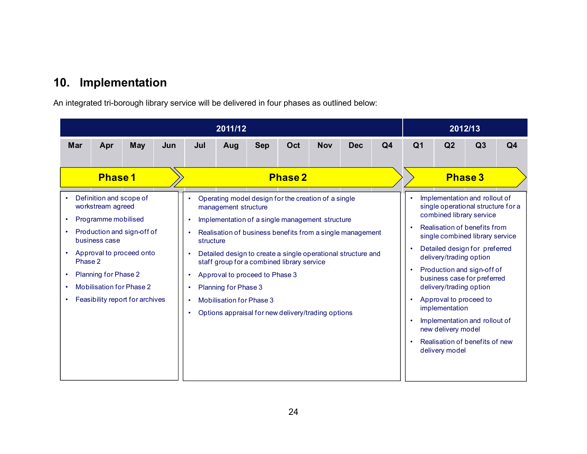## <span id="page-23-0"></span>**10. Implementation**

An integrated tri-borough library service will be delivered in four phases as outlined below:

|                                                                                                    | 2011/12                                                                                                                        |                                                                                                                              |     |                                                                            |                                                                                 |                                                                                                                                                                                        |                |            |                                                                                                                           | 2012/13        |                        |                                                                                                                                                                                                                                                                                                                                                                    |                |                |
|----------------------------------------------------------------------------------------------------|--------------------------------------------------------------------------------------------------------------------------------|------------------------------------------------------------------------------------------------------------------------------|-----|----------------------------------------------------------------------------|---------------------------------------------------------------------------------|----------------------------------------------------------------------------------------------------------------------------------------------------------------------------------------|----------------|------------|---------------------------------------------------------------------------------------------------------------------------|----------------|------------------------|--------------------------------------------------------------------------------------------------------------------------------------------------------------------------------------------------------------------------------------------------------------------------------------------------------------------------------------------------------------------|----------------|----------------|
| <b>Mar</b>                                                                                         | Apr                                                                                                                            | <b>May</b>                                                                                                                   | Jun | Jul                                                                        | Aug                                                                             | <b>Sep</b>                                                                                                                                                                             | Oct            | <b>Nov</b> | <b>Dec</b>                                                                                                                | Q <sub>4</sub> | Q <sub>1</sub>         | Q2                                                                                                                                                                                                                                                                                                                                                                 | Q3             | Q <sub>4</sub> |
| $\bullet$<br>$\bullet$<br>$\bullet$<br>$\bullet$<br>Phase 2<br>$\bullet$<br>$\bullet$<br>$\bullet$ | <b>Phase 1</b><br>Definition and scope of<br>workstream agreed<br>Programme mobilised<br>business case<br>Planning for Phase 2 | Production and sign-off of<br>Approval to proceed onto<br><b>Mobilisation for Phase 2</b><br>Feasibility report for archives |     | $\bullet$<br>$\bullet$<br>structure<br>$\bullet$<br>$\bullet$<br>$\bullet$ | management structure<br>Planning for Phase 3<br><b>Mobilisation for Phase 3</b> | Operating model design for the creation of a single<br>Implementation of a single management structure<br>staff group for a combined library service<br>Approval to proceed to Phase 3 | <b>Phase 2</b> |            | Realisation of business benefits from a single management<br>Detailed design to create a single operational structure and |                | $\bullet$<br>$\bullet$ | Implementation and rollout of<br>single operational structure for a<br>combined library service<br>Realisation of benefits from<br>single combined library service<br>Detailed design for preferred<br>delivery/trading option<br>Production and sign-off of<br>business case for preferred<br>delivery/trading option<br>Approval to proceed to<br>implementation | <b>Phase 3</b> |                |
|                                                                                                    |                                                                                                                                |                                                                                                                              |     | $\bullet$                                                                  |                                                                                 | Options appraisal for new delivery/trading options                                                                                                                                     |                |            |                                                                                                                           |                | $\bullet$<br>$\bullet$ | Implementation and rollout of<br>new delivery model<br>Realisation of benefits of new<br>delivery model                                                                                                                                                                                                                                                            |                |                |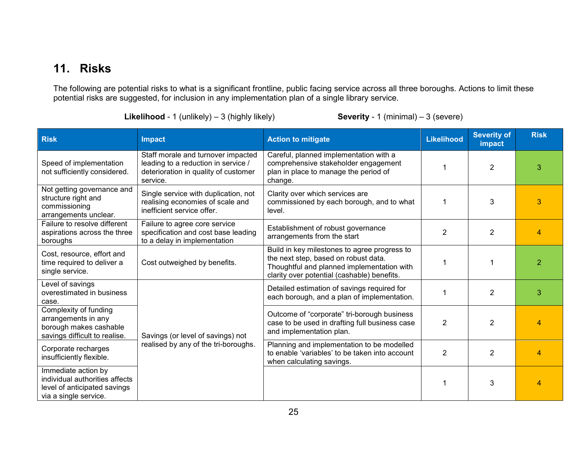## <span id="page-24-0"></span>**11. Risks**

The following are potential risks to what is a significant frontline, public facing service across all three boroughs. Actions to limit these potential risks are suggested, for inclusion in any implementation plan of a single library service.

|  |  |  |  | <b>Likelihood</b> - 1 (unlikely) $-3$ (highly likely) |  |
|--|--|--|--|-------------------------------------------------------|--|
|--|--|--|--|-------------------------------------------------------|--|

#### **Severity** - 1 (minimal) – 3 (severe)

| <b>Risk</b>                                                                                                    | <b>Impact</b>                                                                                                                 | <b>Action to mitigate</b>                                                                                                                                                         | <b>Likelihood</b> | <b>Severity of</b><br>impact | <b>Risk</b>   |
|----------------------------------------------------------------------------------------------------------------|-------------------------------------------------------------------------------------------------------------------------------|-----------------------------------------------------------------------------------------------------------------------------------------------------------------------------------|-------------------|------------------------------|---------------|
| Speed of implementation<br>not sufficiently considered.                                                        | Staff morale and turnover impacted<br>leading to a reduction in service /<br>deterioration in quality of customer<br>service. | Careful, planned implementation with a<br>comprehensive stakeholder engagement<br>plan in place to manage the period of<br>change.                                                |                   | $\overline{2}$               | 3             |
| Not getting governance and<br>structure right and<br>commissioning<br>arrangements unclear.                    | Single service with duplication, not<br>realising economies of scale and<br>inefficient service offer.                        | Clarity over which services are<br>commissioned by each borough, and to what<br>level.                                                                                            |                   | 3                            | 3             |
| Failure to resolve different<br>aspirations across the three<br>boroughs                                       | Failure to agree core service<br>specification and cost base leading<br>to a delay in implementation                          | Establishment of robust governance<br>arrangements from the start                                                                                                                 | $\overline{2}$    | $\overline{2}$               | Δ             |
| Cost, resource, effort and<br>time required to deliver a<br>single service.                                    | Cost outweighed by benefits.                                                                                                  | Build in key milestones to agree progress to<br>the next step, based on robust data.<br>Thoughtful and planned implementation with<br>clarity over potential (cashable) benefits. |                   |                              | $\mathcal{P}$ |
| Level of savings<br>overestimated in business<br>case.                                                         |                                                                                                                               | Detailed estimation of savings required for<br>each borough, and a plan of implementation.                                                                                        |                   | $\overline{2}$               | 3             |
| Complexity of funding<br>arrangements in any<br>borough makes cashable<br>savings difficult to realise.        | Savings (or level of savings) not                                                                                             | Outcome of "corporate" tri-borough business<br>case to be used in drafting full business case<br>and implementation plan.                                                         | $\overline{2}$    | $\overline{2}$               |               |
| Corporate recharges<br>insufficiently flexible.                                                                | realised by any of the tri-boroughs.                                                                                          | Planning and implementation to be modelled<br>to enable 'variables' to be taken into account<br>when calculating savings.                                                         | 2                 | $\overline{2}$               |               |
| Immediate action by<br>individual authorities affects<br>level of anticipated savings<br>via a single service. |                                                                                                                               |                                                                                                                                                                                   |                   | 3                            |               |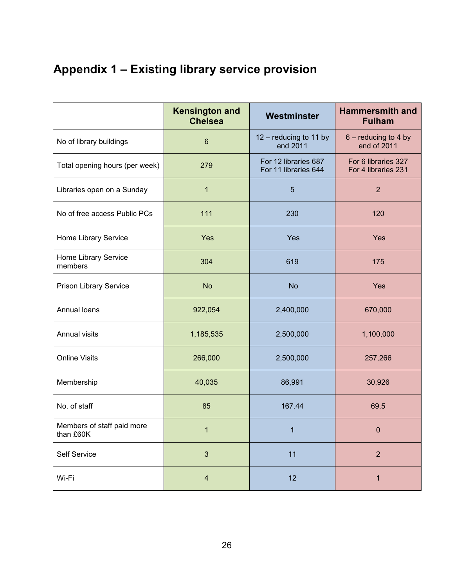## <span id="page-25-0"></span>**Appendix 1 – Existing library service provision**

|                                         | <b>Kensington and</b><br><b>Chelsea</b> | Westminster                                  | <b>Hammersmith and</b><br><b>Fulham</b>    |
|-----------------------------------------|-----------------------------------------|----------------------------------------------|--------------------------------------------|
| No of library buildings                 | $6\phantom{1}6$                         | 12 - reducing to 11 by<br>end 2011           | $6$ – reducing to 4 by<br>end of 2011      |
| Total opening hours (per week)          | 279                                     | For 12 libraries 687<br>For 11 libraries 644 | For 6 libraries 327<br>For 4 libraries 231 |
| Libraries open on a Sunday              | $\mathbf{1}$                            | 5                                            | $\overline{2}$                             |
| No of free access Public PCs            | 111                                     | 230                                          | 120                                        |
| Home Library Service                    | Yes                                     | Yes                                          | Yes                                        |
| Home Library Service<br>members         | 304                                     | 619                                          | 175                                        |
| Prison Library Service                  | <b>No</b>                               | <b>No</b>                                    | Yes                                        |
| Annual loans                            | 922,054                                 | 2,400,000                                    | 670,000                                    |
| Annual visits                           | 1,185,535                               | 2,500,000                                    | 1,100,000                                  |
| <b>Online Visits</b>                    | 266,000                                 | 2,500,000                                    | 257,266                                    |
| Membership                              | 40,035                                  | 86,991                                       | 30,926                                     |
| No. of staff                            | 85                                      | 167.44                                       | 69.5                                       |
| Members of staff paid more<br>than £60K | $\mathbf{1}$                            | 1                                            | $\boldsymbol{0}$                           |
| Self Service                            | $\sqrt{3}$                              | 11                                           | $\overline{2}$                             |
| Wi-Fi                                   | $\overline{4}$                          | 12                                           | $\mathbf{1}$                               |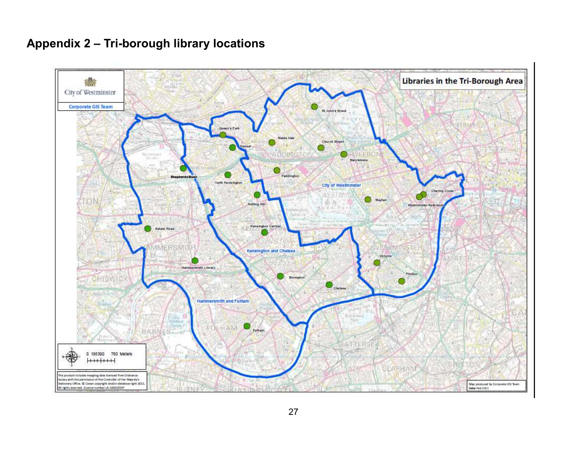## <span id="page-26-0"></span>**Appendix 2 – Tri-borough library locations**

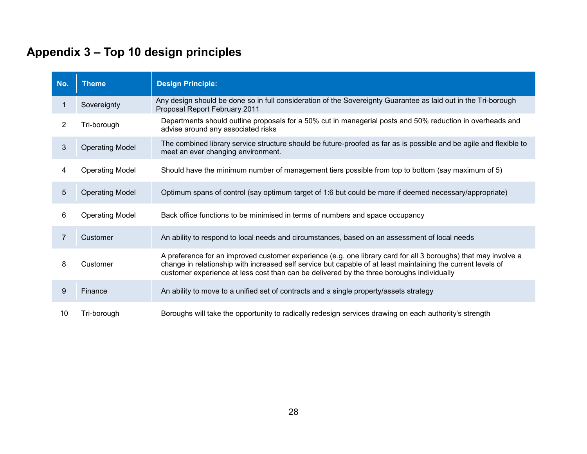## <span id="page-27-0"></span>**Appendix 3 – Top 10 design principles**

| No.            | <b>Theme</b>           | <b>Design Principle:</b>                                                                                                                                                                                                                                                                                                    |
|----------------|------------------------|-----------------------------------------------------------------------------------------------------------------------------------------------------------------------------------------------------------------------------------------------------------------------------------------------------------------------------|
|                | Sovereignty            | Any design should be done so in full consideration of the Sovereignty Guarantee as laid out in the Tri-borough<br>Proposal Report February 2011                                                                                                                                                                             |
| $\overline{2}$ | Tri-borough            | Departments should outline proposals for a 50% cut in managerial posts and 50% reduction in overheads and<br>advise around any associated risks                                                                                                                                                                             |
| 3              | <b>Operating Model</b> | The combined library service structure should be future-proofed as far as is possible and be agile and flexible to<br>meet an ever changing environment.                                                                                                                                                                    |
| 4              | <b>Operating Model</b> | Should have the minimum number of management tiers possible from top to bottom (say maximum of 5)                                                                                                                                                                                                                           |
| 5              | <b>Operating Model</b> | Optimum spans of control (say optimum target of 1:6 but could be more if deemed necessary/appropriate)                                                                                                                                                                                                                      |
| 6              | <b>Operating Model</b> | Back office functions to be minimised in terms of numbers and space occupancy                                                                                                                                                                                                                                               |
| $\overline{7}$ | Customer               | An ability to respond to local needs and circumstances, based on an assessment of local needs                                                                                                                                                                                                                               |
| 8              | Customer               | A preference for an improved customer experience (e.g. one library card for all 3 boroughs) that may involve a<br>change in relationship with increased self service but capable of at least maintaining the current levels of<br>customer experience at less cost than can be delivered by the three boroughs individually |
| 9              | Finance                | An ability to move to a unified set of contracts and a single property/assets strategy                                                                                                                                                                                                                                      |
| 10             | Tri-borough            | Boroughs will take the opportunity to radically redesign services drawing on each authority's strength                                                                                                                                                                                                                      |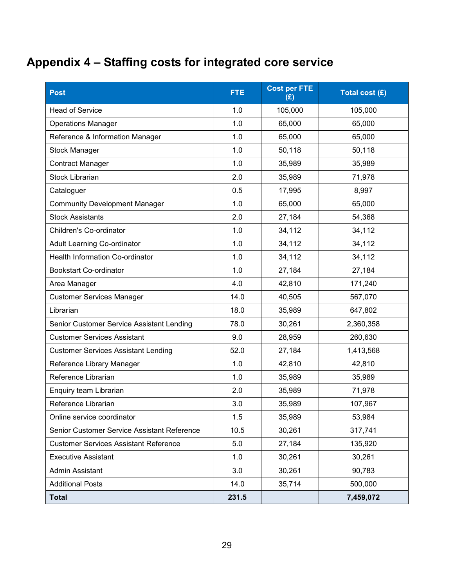## <span id="page-28-0"></span>**Appendix 4 – Staffing costs for integrated core service**

| <b>Post</b>                                  | <b>FTE</b> | <b>Cost per FTE</b><br>(E) | Total cost (£) |
|----------------------------------------------|------------|----------------------------|----------------|
| <b>Head of Service</b>                       | 1.0        | 105,000                    | 105,000        |
| <b>Operations Manager</b>                    | 1.0        | 65,000                     | 65,000         |
| Reference & Information Manager              | 1.0        | 65,000                     | 65,000         |
| <b>Stock Manager</b>                         | 1.0        | 50,118                     | 50,118         |
| <b>Contract Manager</b>                      | 1.0        | 35,989                     | 35,989         |
| <b>Stock Librarian</b>                       | 2.0        | 35,989                     | 71,978         |
| Cataloguer                                   | 0.5        | 17,995                     | 8,997          |
| <b>Community Development Manager</b>         | 1.0        | 65,000                     | 65,000         |
| <b>Stock Assistants</b>                      | 2.0        | 27,184                     | 54,368         |
| Children's Co-ordinator                      | 1.0        | 34,112                     | 34,112         |
| <b>Adult Learning Co-ordinator</b>           | 1.0        | 34,112                     | 34,112         |
| <b>Health Information Co-ordinator</b>       | 1.0        | 34,112                     | 34,112         |
| <b>Bookstart Co-ordinator</b>                | 1.0        | 27,184                     | 27,184         |
| Area Manager                                 | 4.0        | 42,810                     | 171,240        |
| <b>Customer Services Manager</b>             | 14.0       | 40,505                     | 567,070        |
| Librarian                                    | 18.0       | 35,989                     | 647,802        |
| Senior Customer Service Assistant Lending    | 78.0       | 30,261                     | 2,360,358      |
| <b>Customer Services Assistant</b>           | 9.0        | 28,959                     | 260,630        |
| <b>Customer Services Assistant Lending</b>   | 52.0       | 27,184                     | 1,413,568      |
| Reference Library Manager                    | 1.0        | 42,810                     | 42,810         |
| Reference Librarian                          | 1.0        | 35,989                     | 35,989         |
| Enquiry team Librarian                       | 2.0        | 35,989                     | 71,978         |
| Reference Librarian                          | 3.0        | 35,989                     | 107,967        |
| Online service coordinator                   | 1.5        | 35,989                     | 53,984         |
| Senior Customer Service Assistant Reference  | 10.5       | 30,261                     | 317,741        |
| <b>Customer Services Assistant Reference</b> | 5.0        | 27,184                     | 135,920        |
| <b>Executive Assistant</b>                   | 1.0        | 30,261                     | 30,261         |
| Admin Assistant                              | 3.0        | 30,261                     | 90,783         |
| <b>Additional Posts</b>                      | 14.0       | 35,714                     | 500,000        |
| <b>Total</b>                                 | 231.5      |                            | 7,459,072      |